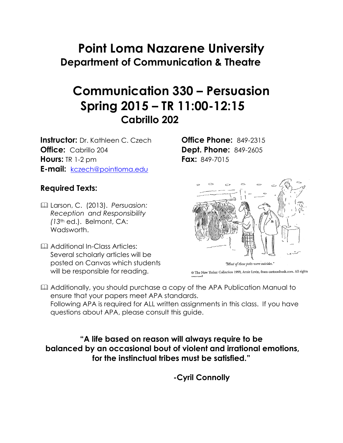# **Point Loma Nazarene University Department of Communication & Theatre**

# **Communication 330 – Persuasion Spring 2015 – TR 11:00-12:15 Cabrillo 202**

**Instructor:** Dr. Kathleen C. Czech **Office Phone:** 849-2315 **Office:** Cabrillo 204 **Dept. Phone:** 849-2605 **Hours:** TR 1-2 pm **Fax:** 849-7015 **E-mail:** [kczech@pointloma.edu](mailto:kczech@pointloma.edu)

#### **Required Texts:**

- Larson, C. (2013). *Persuasion: Reception and Responsibility (13*th ed.). Belmont, CA: Wadsworth.
- **Additional In-Class Articles:** Several scholarly articles will be posted on Canvas which students will be responsible for reading.



© The New Yorker Collection 1999, Arnie Levin, from cartoonbank.com. All rights

 Additionally, you should purchase a copy of the APA Publication Manual to ensure that your papers meet APA standards. Following APA is required for ALL written assignments in this class. If you have questions about APA, please consult this guide.

**"A life based on reason will always require to be balanced by an occasional bout of violent and irrational emotions, for the instinctual tribes must be satisfied."**

**-Cyril Connolly**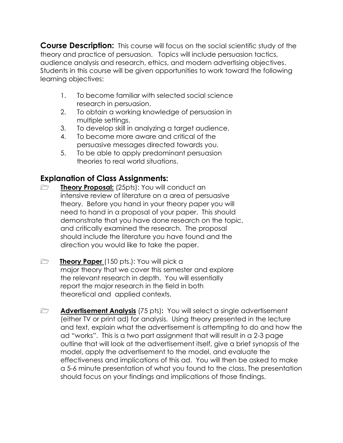**Course Description:** This course will focus on the social scientific study of the theory and practice of persuasion. Topics will include persuasion tactics, audience analysis and research, ethics, and modern advertising objectives. Students in this course will be given opportunities to work toward the following learning objectives:

- 1. To become familiar with selected social science research in persuasion.
- 2. To obtain a working knowledge of persuasion in multiple settings.
- 3. To develop skill in analyzing a target audience.
- 4. To become more aware and critical of the persuasive messages directed towards you.
- 5. To be able to apply predominant persuasion theories to real world situations.

#### **Explanation of Class Assignments:**

- **Theory Proposal:** (25pts): You will conduct an intensive review of literature on a area of persuasive theory. Before you hand in your theory paper you will need to hand in a proposal of your paper. This should demonstrate that you have done research on the topic, and critically examined the research. The proposal should include the literature you have found and the direction you would like to take the paper.
- **Theory Paper** (150 pts.): You will pick a major theory that we cover this semester and explore the relevant research in depth. You will essentially report the major research in the field in both theoretical and applied contexts.
- **Advertisement Analysis** (75 pts): You will select a single advertisement (either TV or print ad) for analysis. Using theory presented in the lecture and text, explain what the advertisement is attempting to do and how the ad "works". This is a two part assignment that will result in a 2-3 page outline that will look at the advertisement itself, give a brief synopsis of the model, apply the advertisement to the model, and evaluate the effectiveness and implications of this ad. You will then be asked to make a 5-6 minute presentation of what you found to the class. The presentation should focus on your findings and implications of those findings.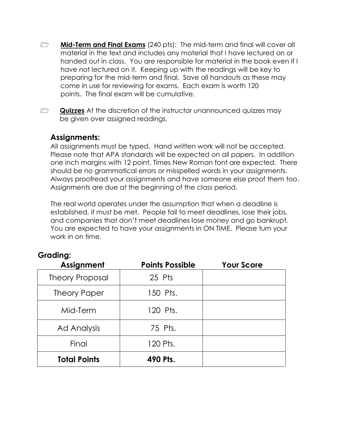- **Mid-Term and Final Exams** (240 pts): The mid-term and final will cover all material in the text and includes any material that I have lectured on or handed out in class. You are responsible for material in the book even if I have not lectured on it. Keeping up with the readings will be key to preparing for the mid-term and final. Save all handouts as these may come in use for reviewing for exams. Each exam is worth 120 points. The final exam will be cumulative.
- **Quizzes** At the discretion of the instructor unannounced quizzes may be given over assigned readings.

#### **Assignments:**

All assignments must be typed. Hand written work will not be accepted. Please note that APA standards will be expected on all papers. In addition one inch margins with 12 point, Times New Roman font are expected. There should be no grammatical errors or misspelled words in your assignments. Always proofread your assignments and have someone else proof them too. Assignments are due at the beginning of the class period.

The real world operates under the assumption that when a deadline is established, it must be met. People fail to meet deadlines, lose their jobs, and companies that don't meet deadlines lose money and go bankrupt. You are expected to have your assignments in ON TIME. Please turn your work in on time.

| ------<br>Assignment   | <b>Points Possible</b> | <b>Your Score</b> |
|------------------------|------------------------|-------------------|
| <b>Theory Proposal</b> | 25 Pts                 |                   |
| Theory Paper           | 150 Pts.               |                   |
| Mid-Term               | 120 Pts.               |                   |
| <b>Ad Analysis</b>     | 75 Pts.                |                   |
| Final                  | 120 Pts.               |                   |
| <b>Total Points</b>    | 490 Pts.               |                   |

#### **Grading:**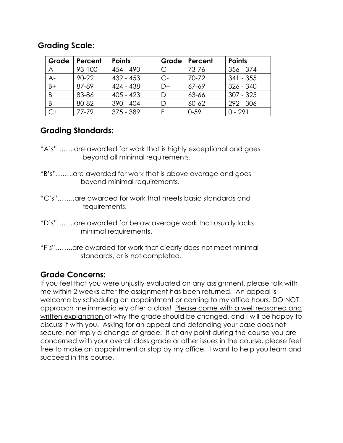#### **Grading Scale:**

| Grade          | Percent   | <b>Points</b> | Grade | Percent   | <b>Points</b> |
|----------------|-----------|---------------|-------|-----------|---------------|
| $\overline{A}$ | 93-100    | $454 - 490$   |       | 73-76     | $356 - 374$   |
| $A -$          | 90-92     | $439 - 453$   | C-    | 70-72     | $341 - 355$   |
| $B+$           | 87-89     | $424 - 438$   | D+    | $67 - 69$ | $326 - 340$   |
| B              | 83-86     | $405 - 423$   |       | 63-66     | $307 - 325$   |
| $B -$          | 80-82     | $390 - 404$   | D-    | 60-62     | 292 - 306     |
| $C+$           | $77 - 79$ | $375 - 389$   |       | $0 - 59$  | $0 - 291$     |

#### **Grading Standards:**

- "A's"……..are awarded for work that is highly exceptional and goes beyond all minimal requirements.
- "B's"……..are awarded for work that is above average and goes beyond minimal requirements.
- "C's"……..are awarded for work that meets basic standards and requirements.
- "D's"……..are awarded for below average work that usually lacks minimal requirements.
- "F's"……..are awarded for work that clearly does not meet minimal standards, or is not completed.

#### **Grade Concerns:**

If you feel that you were unjustly evaluated on any assignment, please talk with me within 2 weeks after the assignment has been returned. An appeal is welcome by scheduling an appointment or coming to my office hours. DO NOT approach me immediately after a class! Please come with a well reasoned and written explanation of why the grade should be changed, and I will be happy to discuss it with you. Asking for an appeal and defending your case does not secure, nor imply a change of grade. If at any point during the course you are concerned with your overall class grade or other issues in the course, please feel free to make an appointment or stop by my office. I want to help you learn and succeed in this course.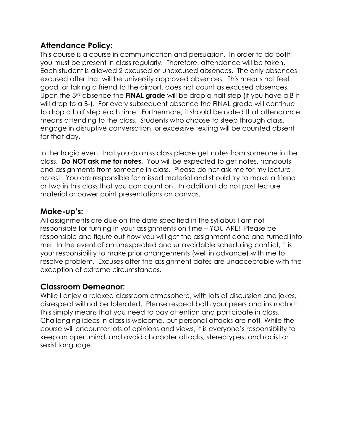#### **Attendance Policy:**

This course is a course in communication and persuasion. In order to do both you must be present in class regularly. Therefore, attendance will be taken. Each student is allowed 2 excused or unexcused absences. The only absences excused after that will be university approved absences. This means not feel good, or taking a friend to the airport, does not count as excused absences. Upon the 3rd absence the **FINAL grade** will be drop a half step (if you have a B it will drop to a B-). For every subsequent absence the FINAL grade will continue to drop a half step each time. Furthermore, it should be noted that attendance means attending to the class. Students who choose to sleep through class, engage in disruptive conversation, or excessive texting will be counted absent for that day.

In the tragic event that you do miss class please get notes from someone in the class. **Do NOT ask me for notes.** You will be expected to get notes, handouts, and assignments from someone in class. Please do not ask me for my lecture notes!! You are responsible for missed material and should try to make a friend or two in this class that you can count on. In addition I do not post lecture material or power point presentations on canvas.

#### **Make-up's:**

All assignments are due on the date specified in the syllabus I am not responsible for turning in your assignments on time – YOU ARE! Please be responsible and figure out how you will get the assignment done and turned into me. In the event of an unexpected and unavoidable scheduling conflict, it is your responsibility to make prior arrangements (well in advance) with me to resolve problem. Excuses after the assignment dates are unacceptable with the exception of extreme circumstances.

#### **Classroom Demeanor:**

While I enjoy a relaxed classroom atmosphere, with lots of discussion and jokes, disrespect will not be tolerated. Please respect both your peers and instructor!! This simply means that you need to pay attention and participate in class. Challenging ideas in class is welcome, but personal attacks are not! While the course will encounter lots of opinions and views, it is everyone's responsibility to keep an open mind, and avoid character attacks, stereotypes, and racist or sexist language.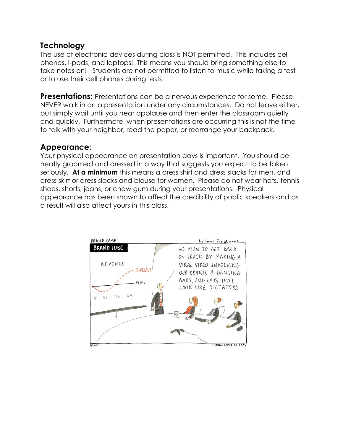#### **Technology**

The use of electronic devices during class is NOT permitted. This includes cell phones, i-pods, and laptops! This means you should bring something else to take notes on! Students are not permitted to listen to music while taking a test or to use their cell phones during tests.

**Presentations:** Presentations can be a nervous experience for some. Please NEVER walk in on a presentation under any circumstances. Do not leave either, but simply wait until you hear applause and then enter the classroom quietly and quickly. Furthermore, when presentations are occurring this is not the time to talk with your neighbor, read the paper, or rearrange your backpack**.** 

#### **Appearance:**

Your physical appearance on presentation days is important. You should be neatly groomed and dressed in a way that suggests you expect to be taken seriously. **At a minimum** this means a dress shirt and dress slacks for men, and dress skirt or dress slacks and blouse for women. Please do not wear hats, tennis shoes, shorts, jeans, or chew gum during your presentations. Physical appearance has been shown to affect the credibility of public speakers and as a result will also affect yours in this class!

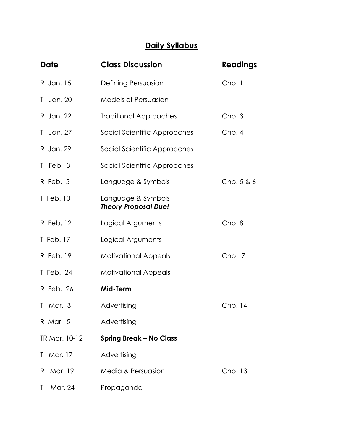### **Daily Syllabus**

| <b>Date</b>             | <b>Class Discussion</b>                           | <b>Readings</b> |
|-------------------------|---------------------------------------------------|-----------------|
| R Jan. 15               | Defining Persuasion                               | Chp.1           |
| Jan. 20<br>T.           | <b>Models of Persuasion</b>                       |                 |
| R Jan. 22               | <b>Traditional Approaches</b>                     | Chp.3           |
| Jan. 27<br>T.           | Social Scientific Approaches                      | Chp. 4          |
| R Jan. 29               | Social Scientific Approaches                      |                 |
| $T$ Feb. 3              | Social Scientific Approaches                      |                 |
| R Feb. 5                | Language & Symbols                                | Chp. 5 & 6      |
| T Feb. 10               | Language & Symbols<br><b>Theory Proposal Due!</b> |                 |
| R Feb. 12               | Logical Arguments                                 | Chp.8           |
| T Feb. 17               | Logical Arguments                                 |                 |
| R Feb. 19               | <b>Motivational Appeals</b>                       | Chp. 7          |
| T Feb. 24               | <b>Motivational Appeals</b>                       |                 |
| R Feb. 26               | Mid-Term                                          |                 |
| $T$ Mar. 3              | Advertising                                       | Chp. 14         |
| R Mar. 5                | Advertising                                       |                 |
| TR Mar. 10-12           | <b>Spring Break - No Class</b>                    |                 |
| Mar. 17<br>$\mathbf{L}$ | Advertising                                       |                 |
| Mar. 19<br>R.           | Media & Persuasion                                | Chp. 13         |
| Mar. 24<br>Τ            | Propaganda                                        |                 |